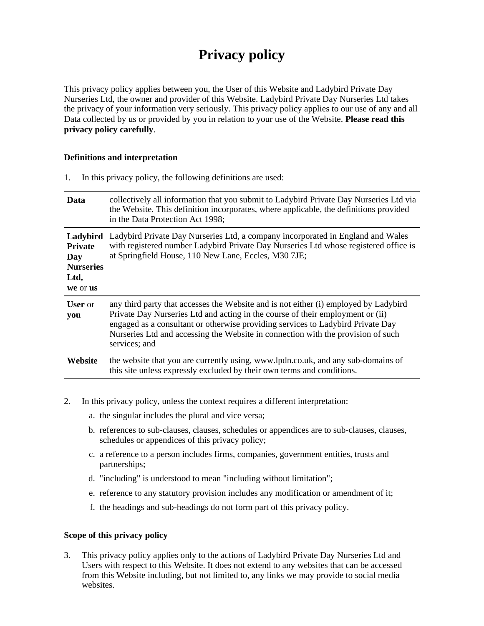# **Privacy policy**

This privacy policy applies between you, the User of this Website and Ladybird Private Day Nurseries Ltd, the owner and provider of this Website. Ladybird Private Day Nurseries Ltd takes the privacy of your information very seriously. This privacy policy applies to our use of any and all Data collected by us or provided by you in relation to your use of the Website. **Please read this privacy policy carefully**.

## **Definitions and interpretation**

1. In this privacy policy, the following definitions are used:

| Data                                                          | collectively all information that you submit to Ladybird Private Day Nurseries Ltd via<br>the Website. This definition incorporates, where applicable, the definitions provided<br>in the Data Protection Act 1998;                                                                                                                                            |
|---------------------------------------------------------------|----------------------------------------------------------------------------------------------------------------------------------------------------------------------------------------------------------------------------------------------------------------------------------------------------------------------------------------------------------------|
| <b>Private</b><br>Day<br><b>Nurseries</b><br>Ltd,<br>we or us | Ladybird Ladybird Private Day Nurseries Ltd, a company incorporated in England and Wales<br>with registered number Ladybird Private Day Nurseries Ltd whose registered office is<br>at Springfield House, 110 New Lane, Eccles, M30 7JE;                                                                                                                       |
| <b>User</b> or<br>you                                         | any third party that accesses the Website and is not either (i) employed by Ladybird<br>Private Day Nurseries Ltd and acting in the course of their employment or (ii)<br>engaged as a consultant or otherwise providing services to Ladybird Private Day<br>Nurseries Ltd and accessing the Website in connection with the provision of such<br>services; and |
| Website                                                       | the website that you are currently using, www.lpdn.co.uk, and any sub-domains of<br>this site unless expressly excluded by their own terms and conditions.                                                                                                                                                                                                     |

- 2. In this privacy policy, unless the context requires a different interpretation:
	- a. the singular includes the plural and vice versa;
	- b. references to sub-clauses, clauses, schedules or appendices are to sub-clauses, clauses, schedules or appendices of this privacy policy;
	- c. a reference to a person includes firms, companies, government entities, trusts and partnerships;
	- d. "including" is understood to mean "including without limitation";
	- e. reference to any statutory provision includes any modification or amendment of it;
	- f. the headings and sub-headings do not form part of this privacy policy.

## **Scope of this privacy policy**

3. This privacy policy applies only to the actions of Ladybird Private Day Nurseries Ltd and Users with respect to this Website. It does not extend to any websites that can be accessed from this Website including, but not limited to, any links we may provide to social media websites.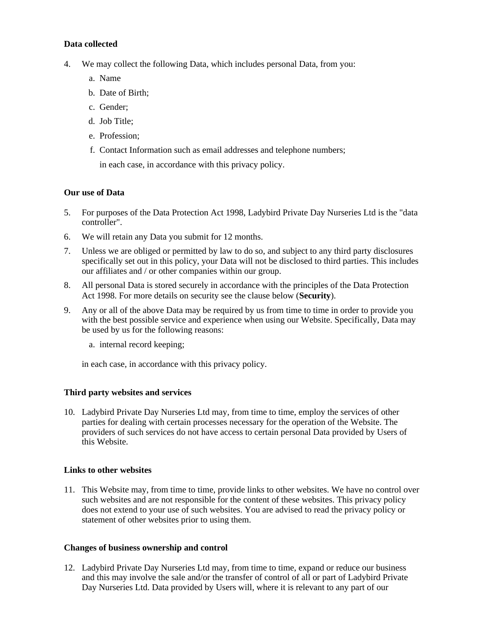## **Data collected**

- 4. We may collect the following Data, which includes personal Data, from you:
	- a. Name
	- b. Date of Birth;
	- c. Gender;
	- d. Job Title;
	- e. Profession;
	- f. Contact Information such as email addresses and telephone numbers;
		- in each case, in accordance with this privacy policy.

## **Our use of Data**

- 5. For purposes of the Data Protection Act 1998, Ladybird Private Day Nurseries Ltd is the "data controller".
- 6. We will retain any Data you submit for 12 months.
- 7. Unless we are obliged or permitted by law to do so, and subject to any third party disclosures specifically set out in this policy, your Data will not be disclosed to third parties. This includes our affiliates and / or other companies within our group.
- 8. All personal Data is stored securely in accordance with the principles of the Data Protection Act 1998. For more details on security see the clause below (**Security**).
- 9. Any or all of the above Data may be required by us from time to time in order to provide you with the best possible service and experience when using our Website. Specifically, Data may be used by us for the following reasons:
	- a. internal record keeping;

in each case, in accordance with this privacy policy.

## **Third party websites and services**

10. Ladybird Private Day Nurseries Ltd may, from time to time, employ the services of other parties for dealing with certain processes necessary for the operation of the Website. The providers of such services do not have access to certain personal Data provided by Users of this Website.

## **Links to other websites**

11. This Website may, from time to time, provide links to other websites. We have no control over such websites and are not responsible for the content of these websites. This privacy policy does not extend to your use of such websites. You are advised to read the privacy policy or statement of other websites prior to using them.

## **Changes of business ownership and control**

12. Ladybird Private Day Nurseries Ltd may, from time to time, expand or reduce our business and this may involve the sale and/or the transfer of control of all or part of Ladybird Private Day Nurseries Ltd. Data provided by Users will, where it is relevant to any part of our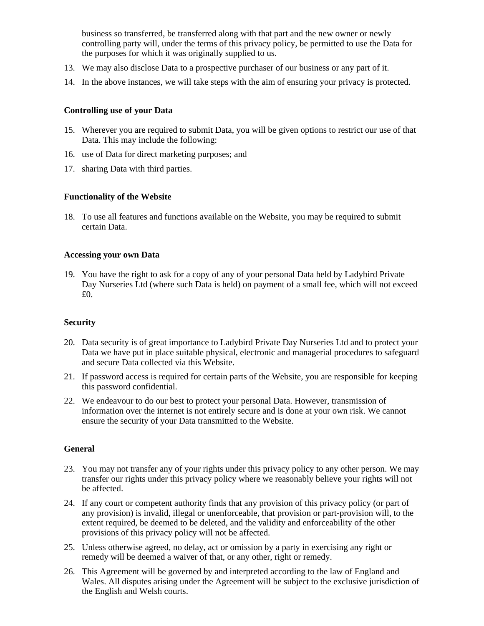business so transferred, be transferred along with that part and the new owner or newly controlling party will, under the terms of this privacy policy, be permitted to use the Data for the purposes for which it was originally supplied to us.

- 13. We may also disclose Data to a prospective purchaser of our business or any part of it.
- 14. In the above instances, we will take steps with the aim of ensuring your privacy is protected.

## **Controlling use of your Data**

- 15. Wherever you are required to submit Data, you will be given options to restrict our use of that Data. This may include the following:
- 16. use of Data for direct marketing purposes; and
- 17. sharing Data with third parties.

## **Functionality of the Website**

18. To use all features and functions available on the Website, you may be required to submit certain Data.

## **Accessing your own Data**

19. You have the right to ask for a copy of any of your personal Data held by Ladybird Private Day Nurseries Ltd (where such Data is held) on payment of a small fee, which will not exceed £0.

## **Security**

- 20. Data security is of great importance to Ladybird Private Day Nurseries Ltd and to protect your Data we have put in place suitable physical, electronic and managerial procedures to safeguard and secure Data collected via this Website.
- 21. If password access is required for certain parts of the Website, you are responsible for keeping this password confidential.
- 22. We endeavour to do our best to protect your personal Data. However, transmission of information over the internet is not entirely secure and is done at your own risk. We cannot ensure the security of your Data transmitted to the Website.

## **General**

- 23. You may not transfer any of your rights under this privacy policy to any other person. We may transfer our rights under this privacy policy where we reasonably believe your rights will not be affected.
- 24. If any court or competent authority finds that any provision of this privacy policy (or part of any provision) is invalid, illegal or unenforceable, that provision or part-provision will, to the extent required, be deemed to be deleted, and the validity and enforceability of the other provisions of this privacy policy will not be affected.
- 25. Unless otherwise agreed, no delay, act or omission by a party in exercising any right or remedy will be deemed a waiver of that, or any other, right or remedy.
- 26. This Agreement will be governed by and interpreted according to the law of England and Wales. All disputes arising under the Agreement will be subject to the exclusive jurisdiction of the English and Welsh courts.